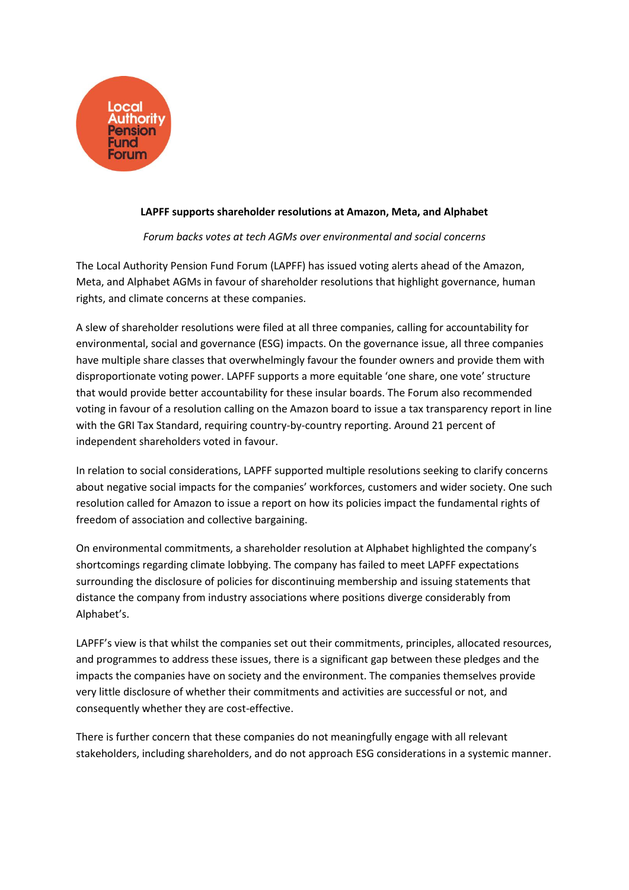

## **LAPFF supports shareholder resolutions at Amazon, Meta, and Alphabet**

## *Forum backs votes at tech AGMs over environmental and social concerns*

The Local Authority Pension Fund Forum (LAPFF) has issued voting alerts ahead of the Amazon, Meta, and Alphabet AGMs in favour of shareholder resolutions that highlight governance, human rights, and climate concerns at these companies.

A slew of shareholder resolutions were filed at all three companies, calling for accountability for environmental, social and governance (ESG) impacts. On the governance issue, all three companies have multiple share classes that overwhelmingly favour the founder owners and provide them with disproportionate voting power. LAPFF supports a more equitable 'one share, one vote' structure that would provide better accountability for these insular boards. The Forum also recommended voting in favour of a resolution calling on the Amazon board to issue a tax transparency report in line with the GRI Tax Standard, requiring country-by-country reporting. Around 21 percent of independent shareholders voted in favour.

In relation to social considerations, LAPFF supported multiple resolutions seeking to clarify concerns about negative social impacts for the companies' workforces, customers and wider society. One such resolution called for Amazon to issue a report on how its policies impact the fundamental rights of freedom of association and collective bargaining.

On environmental commitments, a shareholder resolution at Alphabet highlighted the company's shortcomings regarding climate lobbying. The company has failed to meet LAPFF expectations surrounding the disclosure of policies for discontinuing membership and issuing statements that distance the company from industry associations where positions diverge considerably from Alphabet's.

LAPFF's view is that whilst the companies set out their commitments, principles, allocated resources, and programmes to address these issues, there is a significant gap between these pledges and the impacts the companies have on society and the environment. The companies themselves provide very little disclosure of whether their commitments and activities are successful or not, and consequently whether they are cost-effective.

There is further concern that these companies do not meaningfully engage with all relevant stakeholders, including shareholders, and do not approach ESG considerations in a systemic manner.